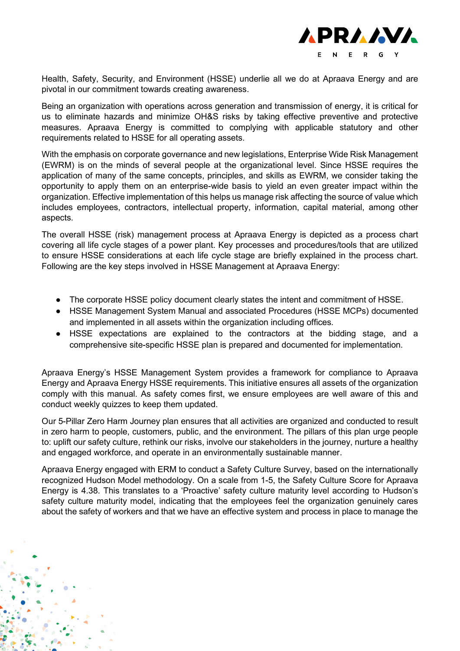

Health, Safety, Security, and Environment (HSSE) underlie all we do at Apraava Energy and are pivotal in our commitment towards creating awareness.

Being an organization with operations across generation and transmission of energy, it is critical for us to eliminate hazards and minimize OH&S risks by taking effective preventive and protective measures. Apraava Energy is committed to complying with applicable statutory and other requirements related to HSSE for all operating assets.

With the emphasis on corporate governance and new legislations, Enterprise Wide Risk Management (EWRM) is on the minds of several people at the organizational level. Since HSSE requires the application of many of the same concepts, principles, and skills as EWRM, we consider taking the opportunity to apply them on an enterprise-wide basis to yield an even greater impact within the organization. Effective implementation of this helps us manage risk affecting the source of value which includes employees, contractors, intellectual property, information, capital material, among other aspects.

The overall HSSE (risk) management process at Apraava Energy is depicted as a process chart covering all life cycle stages of a power plant. Key processes and procedures/tools that are utilized to ensure HSSE considerations at each life cycle stage are briefly explained in the process chart. Following are the key steps involved in HSSE Management at Apraava Energy:

- The corporate HSSE policy document clearly states the intent and commitment of HSSE.
- HSSE Management System Manual and associated Procedures (HSSE MCPs) documented and implemented in all assets within the organization including offices.
- HSSE expectations are explained to the contractors at the bidding stage, and a comprehensive site-specific HSSE plan is prepared and documented for implementation.

Apraava Energy's HSSE Management System provides a framework for compliance to Apraava Energy and Apraava Energy HSSE requirements. This initiative ensures all assets of the organization comply with this manual. As safety comes first, we ensure employees are well aware of this and conduct weekly quizzes to keep them updated.

Our 5-Pillar Zero Harm Journey plan ensures that all activities are organized and conducted to result in zero harm to people, customers, public, and the environment. The pillars of this plan urge people to: uplift our safety culture, rethink our risks, involve our stakeholders in the journey, nurture a healthy and engaged workforce, and operate in an environmentally sustainable manner.

Apraava Energy engaged with ERM to conduct a Safety Culture Survey, based on the internationally recognized Hudson Model methodology. On a scale from 1-5, the Safety Culture Score for Apraava Energy is 4.38. This translates to a 'Proactive' safety culture maturity level according to Hudson's safety culture maturity model, indicating that the employees feel the organization genuinely cares about the safety of workers and that we have an effective system and process in place to manage the